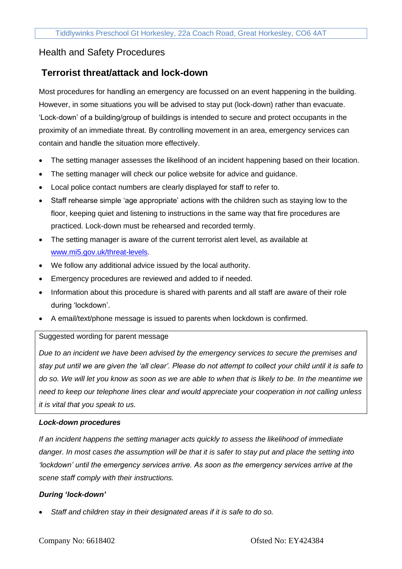# Health and Safety Procedures

# **Terrorist threat/attack and lock-down**

Most procedures for handling an emergency are focussed on an event happening in the building. However, in some situations you will be advised to stay put (lock-down) rather than evacuate. 'Lock-down' of a building/group of buildings is intended to secure and protect occupants in the proximity of an immediate threat. By controlling movement in an area, emergency services can contain and handle the situation more effectively.

- The setting manager assesses the likelihood of an incident happening based on their location.
- The setting manager will check our police website for advice and guidance.
- Local police contact numbers are clearly displayed for staff to refer to.
- Staff rehearse simple 'age appropriate' actions with the children such as staying low to the floor, keeping quiet and listening to instructions in the same way that fire procedures are practiced. Lock-down must be rehearsed and recorded termly.
- The setting manager is aware of the current terrorist alert level, as available at [www.mi5.gov.uk/threat-levels.](http://www.mi5.gov.uk/threat-levels)
- We follow any additional advice issued by the local authority.
- Emergency procedures are reviewed and added to if needed.
- Information about this procedure is shared with parents and all staff are aware of their role during 'lockdown'.
- A email/text/phone message is issued to parents when lockdown is confirmed.

### Suggested wording for parent message

*Due to an incident we have been advised by the emergency services to secure the premises and stay put until we are given the 'all clear'. Please do not attempt to collect your child until it is safe to do so. We will let you know as soon as we are able to when that is likely to be. In the meantime we need to keep our telephone lines clear and would appreciate your cooperation in not calling unless it is vital that you speak to us.*

### *Lock-down procedures*

*If an incident happens the setting manager acts quickly to assess the likelihood of immediate danger. In most cases the assumption will be that it is safer to stay put and place the setting into 'lockdown' until the emergency services arrive. As soon as the emergency services arrive at the scene staff comply with their instructions.*

### *During 'lock-down'*

• *Staff and children stay in their designated areas if it is safe to do so.*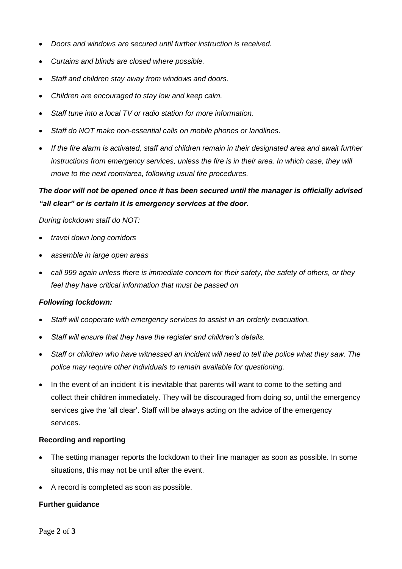- *Doors and windows are secured until further instruction is received.*
- *Curtains and blinds are closed where possible.*
- *Staff and children stay away from windows and doors.*
- *Children are encouraged to stay low and keep calm.*
- *Staff tune into a local TV or radio station for more information.*
- *Staff do NOT make non-essential calls on mobile phones or landlines.*
- If the fire alarm is activated, staff and children remain in their designated area and await further *instructions from emergency services, unless the fire is in their area. In which case, they will move to the next room/area, following usual fire procedures.*

### *The door will not be opened once it has been secured until the manager is officially advised "all clear" or is certain it is emergency services at the door.*

*During lockdown staff do NOT:*

- *travel down long corridors*
- *assemble in large open areas*
- *call 999 again unless there is immediate concern for their safety, the safety of others, or they feel they have critical information that must be passed on*

### *Following lockdown:*

- *Staff will cooperate with emergency services to assist in an orderly evacuation.*
- *Staff will ensure that they have the register and children's details.*
- *Staff or children who have witnessed an incident will need to tell the police what they saw. The police may require other individuals to remain available for questioning.*
- In the event of an incident it is inevitable that parents will want to come to the setting and collect their children immediately. They will be discouraged from doing so, until the emergency services give the 'all clear'. Staff will be always acting on the advice of the emergency services.

#### **Recording and reporting**

- The setting manager reports the lockdown to their line manager as soon as possible. In some situations, this may not be until after the event.
- A record is completed as soon as possible.

### **Further guidance**